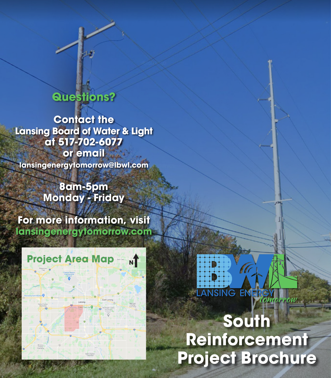## **Questions?**

**Contact the Lansing Board of Water & Light at 517-702-6077 or email lansingenergytomorrow@lbwl.com**

> **8am-5pm Monday - Friday**

**For more information, visit lansingenergytomorrow.com**

#### **Project Area Map** мT

# **South Reinforcement Project Brochure**

**ANSING ENER**